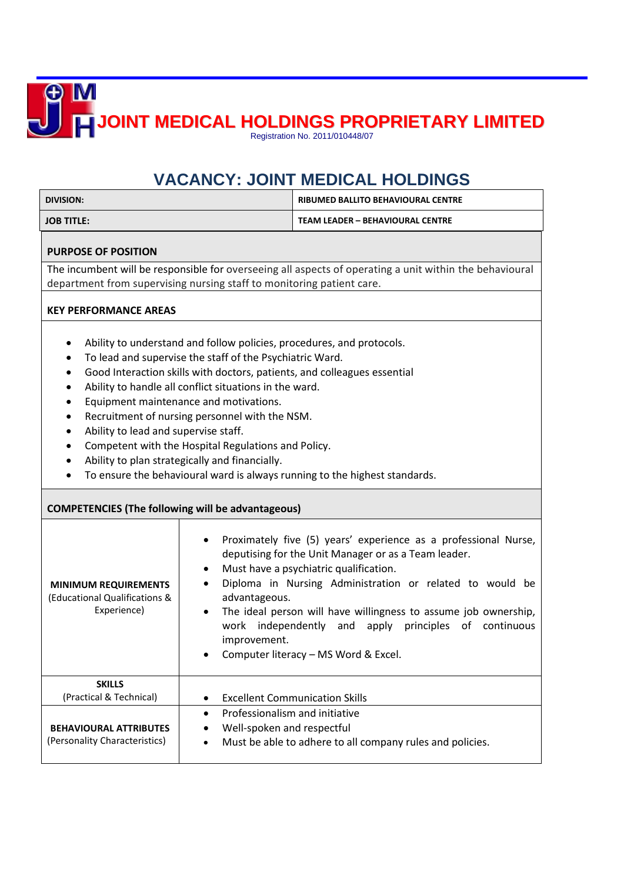**JOINT MEDICAL HOLDINGS PROPRIETARY LIMITED**

Registration No. 2011/010448/07

## **VACANCY: JOINT MEDICAL HOLDINGS**

| <b>DIVISION:</b>                                                                                                                                                                 |                                                                                                                                                                                                                                                                                                                         | <u> VACANCT. JUINT MEDICAL HULDINGS</u><br><b>RIBUMED BALLITO BEHAVIOURAL CENTRE</b>                                                                                                                                                                                                                                                                                                                 |
|----------------------------------------------------------------------------------------------------------------------------------------------------------------------------------|-------------------------------------------------------------------------------------------------------------------------------------------------------------------------------------------------------------------------------------------------------------------------------------------------------------------------|------------------------------------------------------------------------------------------------------------------------------------------------------------------------------------------------------------------------------------------------------------------------------------------------------------------------------------------------------------------------------------------------------|
| <b>JOB TITLE:</b>                                                                                                                                                                |                                                                                                                                                                                                                                                                                                                         | <b>TEAM LEADER - BEHAVIOURAL CENTRE</b>                                                                                                                                                                                                                                                                                                                                                              |
| <b>PURPOSE OF POSITION</b>                                                                                                                                                       |                                                                                                                                                                                                                                                                                                                         |                                                                                                                                                                                                                                                                                                                                                                                                      |
| The incumbent will be responsible for overseeing all aspects of operating a unit within the behavioural<br>department from supervising nursing staff to monitoring patient care. |                                                                                                                                                                                                                                                                                                                         |                                                                                                                                                                                                                                                                                                                                                                                                      |
| <b>KEY PERFORMANCE AREAS</b>                                                                                                                                                     |                                                                                                                                                                                                                                                                                                                         |                                                                                                                                                                                                                                                                                                                                                                                                      |
| $\bullet$<br>٠<br>Ability to lead and supervise staff.<br>$\bullet$<br>٠                                                                                                         | To lead and supervise the staff of the Psychiatric Ward.<br>Ability to handle all conflict situations in the ward.<br>Equipment maintenance and motivations.<br>Recruitment of nursing personnel with the NSM.<br>Competent with the Hospital Regulations and Policy.<br>Ability to plan strategically and financially. | Ability to understand and follow policies, procedures, and protocols.<br>Good Interaction skills with doctors, patients, and colleagues essential<br>To ensure the behavioural ward is always running to the highest standards.                                                                                                                                                                      |
| <b>COMPETENCIES (The following will be advantageous)</b>                                                                                                                         |                                                                                                                                                                                                                                                                                                                         |                                                                                                                                                                                                                                                                                                                                                                                                      |
| <b>MINIMUM REQUIREMENTS</b><br>(Educational Qualifications &<br>Experience)                                                                                                      | $\bullet$<br>advantageous.<br>$\bullet$<br>improvement.                                                                                                                                                                                                                                                                 | Proximately five (5) years' experience as a professional Nurse,<br>deputising for the Unit Manager or as a Team leader.<br>Must have a psychiatric qualification.<br>Diploma in Nursing Administration or related to would be<br>The ideal person will have willingness to assume job ownership,<br>work independently and<br>apply principles of continuous<br>Computer literacy - MS Word & Excel. |
| <b>SKILLS</b><br>(Practical & Technical)<br><b>BEHAVIOURAL ATTRIBUTES</b><br>(Personality Characteristics)                                                                       | Professionalism and initiative<br>$\bullet$<br>Well-spoken and respectful<br>٠                                                                                                                                                                                                                                          | <b>Excellent Communication Skills</b><br>Must be able to adhere to all company rules and policies.                                                                                                                                                                                                                                                                                                   |